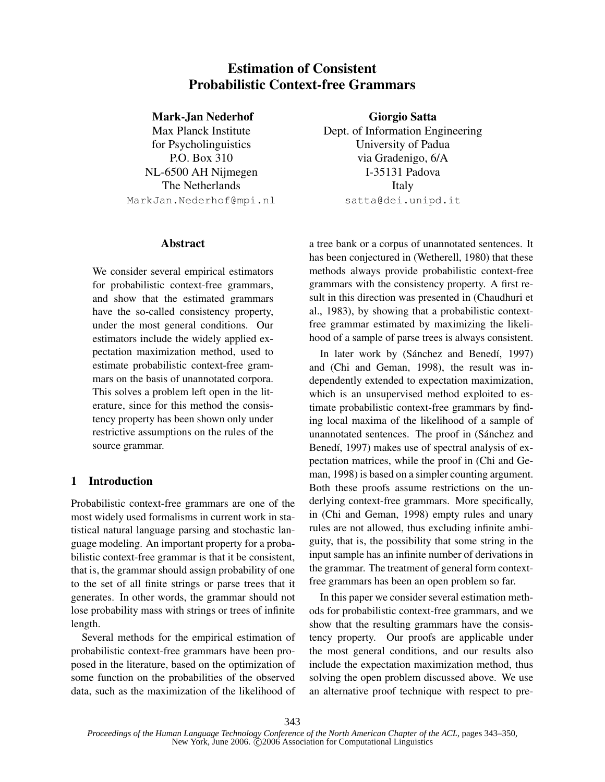# Estimation of Consistent Probabilistic Context-free Grammars

## Mark-Jan Nederhof

Max Planck Institute for Psycholinguistics P.O. Box 310 NL-6500 AH Nijmegen The Netherlands MarkJan.Nederhof@mpi.nl

# Abstract

We consider several empirical estimators for probabilistic context-free grammars, and show that the estimated grammars have the so-called consistency property, under the most general conditions. Our estimators include the widely applied expectation maximization method, used to estimate probabilistic context-free grammars on the basis of unannotated corpora. This solves a problem left open in the literature, since for this method the consistency property has been shown only under restrictive assumptions on the rules of the source grammar.

# 1 Introduction

Probabilistic context-free grammars are one of the most widely used formalisms in current work in statistical natural language parsing and stochastic language modeling. An important property for a probabilistic context-free grammar is that it be consistent, that is, the grammar should assign probability of one to the set of all finite strings or parse trees that it generates. In other words, the grammar should not lose probability mass with strings or trees of infinite length.

Several methods for the empirical estimation of probabilistic context-free grammars have been proposed in the literature, based on the optimization of some function on the probabilities of the observed data, such as the maximization of the likelihood of

Giorgio Satta Dept. of Information Engineering University of Padua via Gradenigo, 6/A I-35131 Padova Italy satta@dei.unipd.it

a tree bank or a corpus of unannotated sentences. It has been conjectured in (Wetherell, 1980) that these methods always provide probabilistic context-free grammars with the consistency property. A first result in this direction was presented in (Chaudhuri et al., 1983), by showing that a probabilistic contextfree grammar estimated by maximizing the likelihood of a sample of parse trees is always consistent.

In later work by (Sánchez and Benedí, 1997) and (Chi and Geman, 1998), the result was independently extended to expectation maximization, which is an unsupervised method exploited to estimate probabilistic context-free grammars by finding local maxima of the likelihood of a sample of unannotated sentences. The proof in (Sánchez and Benedí, 1997) makes use of spectral analysis of expectation matrices, while the proof in (Chi and Geman, 1998) is based on a simpler counting argument. Both these proofs assume restrictions on the underlying context-free grammars. More specifically, in (Chi and Geman, 1998) empty rules and unary rules are not allowed, thus excluding infinite ambiguity, that is, the possibility that some string in the input sample has an infinite number of derivations in the grammar. The treatment of general form contextfree grammars has been an open problem so far.

In this paper we consider several estimation methods for probabilistic context-free grammars, and we show that the resulting grammars have the consistency property. Our proofs are applicable under the most general conditions, and our results also include the expectation maximization method, thus solving the open problem discussed above. We use an alternative proof technique with respect to pre-

*Proceedings of the Human Language Technology Conference of the North American Chapter of the ACL*, pages 343–350, New York, June 2006.  $\ddot{\text{C}}$ 2006 Association for Computational Linguistics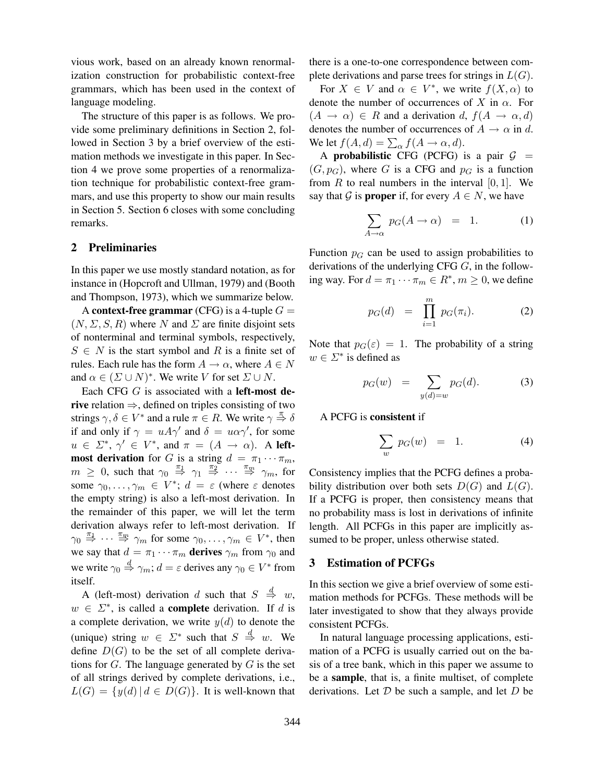vious work, based on an already known renormalization construction for probabilistic context-free grammars, which has been used in the context of language modeling.

The structure of this paper is as follows. We provide some preliminary definitions in Section 2, followed in Section 3 by a brief overview of the estimation methods we investigate in this paper. In Section 4 we prove some properties of a renormalization technique for probabilistic context-free grammars, and use this property to show our main results in Section 5. Section 6 closes with some concluding remarks.

#### 2 Preliminaries

In this paper we use mostly standard notation, as for instance in (Hopcroft and Ullman, 1979) and (Booth and Thompson, 1973), which we summarize below.

A context-free grammar (CFG) is a 4-tuple  $G =$  $(N, \Sigma, S, R)$  where N and  $\Sigma$  are finite disjoint sets of nonterminal and terminal symbols, respectively,  $S \in N$  is the start symbol and R is a finite set of rules. Each rule has the form  $A \to \alpha$ , where  $A \in N$ and  $\alpha \in (\Sigma \cup N)^*$ . We write V for set  $\Sigma \cup N$ .

Each CFG  $G$  is associated with a left-most derive relation  $\Rightarrow$ , defined on triples consisting of two strings  $\gamma, \delta \in V^*$  and a rule  $\pi \in R$ . We write  $\gamma \stackrel{\pi}{\Rightarrow} \delta$ if and only if  $\gamma = uA\gamma'$  and  $\delta = u\alpha\gamma'$ , for some  $u \in \Sigma^*, \gamma' \in V^*,$  and  $\pi = (A \rightarrow \alpha)$ . A left**most derivation** for G is a string  $d = \pi_1 \cdots \pi_m$ ,  $m \geq 0$ , such that  $\gamma_0 \stackrel{\pi_1}{\Rightarrow} \gamma_1 \stackrel{\pi_2}{\Rightarrow} \cdots \stackrel{\pi_m}{\Rightarrow} \gamma_m$ , for some  $\gamma_0, \ldots, \gamma_m \in V^*$ ;  $d = \varepsilon$  (where  $\varepsilon$  denotes the empty string) is also a left-most derivation. In the remainder of this paper, we will let the term derivation always refer to left-most derivation. If  $\gamma_0 \stackrel{\pi_1}{\Rightarrow} \cdots \stackrel{\pi_m}{\Rightarrow} \gamma_m$  for some  $\gamma_0, \ldots, \gamma_m \in V^*$ , then we say that  $d = \pi_1 \cdots \pi_m$  derives  $\gamma_m$  from  $\gamma_0$  and we write  $\gamma_0 \stackrel{d}{\Rightarrow} \gamma_m$ ;  $d = \varepsilon$  derives any  $\gamma_0 \in V^*$  from itself.

A (left-most) derivation d such that  $S \stackrel{d}{\Rightarrow} w$ ,  $w \in \Sigma^*$ , is called a **complete** derivation. If d is a complete derivation, we write  $y(d)$  to denote the (unique) string  $w \in \Sigma^*$  such that  $S \stackrel{d}{\Rightarrow} w$ . We define  $D(G)$  to be the set of all complete derivations for  $G$ . The language generated by  $G$  is the set of all strings derived by complete derivations, i.e.,  $L(G) = \{y(d) | d \in D(G)\}\$ . It is well-known that there is a one-to-one correspondence between complete derivations and parse trees for strings in  $L(G)$ .

For  $X \in V$  and  $\alpha \in V^*$ , we write  $f(X, \alpha)$  to denote the number of occurrences of X in  $\alpha$ . For  $(A \rightarrow \alpha) \in R$  and a derivation d,  $f(A \rightarrow \alpha, d)$ denotes the number of occurrences of  $A \to \alpha$  in d. We let  $f(A, d) = \sum_{\alpha} f(A \rightarrow \alpha, d)$ .

A probabilistic CFG (PCFG) is a pair  $G =$  $(G, p_G)$ , where G is a CFG and  $p_G$  is a function from  $R$  to real numbers in the interval  $[0, 1]$ . We say that G is **proper** if, for every  $A \in N$ , we have

$$
\sum_{A \to \alpha} p_G(A \to \alpha) = 1. \tag{1}
$$

Function  $p<sub>G</sub>$  can be used to assign probabilities to derivations of the underlying CFG G, in the following way. For  $d = \pi_1 \cdots \pi_m \in R^*$ ,  $m \ge 0$ , we define

$$
p_G(d) = \prod_{i=1}^m p_G(\pi_i). \tag{2}
$$

Note that  $p_G(\varepsilon) = 1$ . The probability of a string  $w \in \Sigma^*$  is defined as

$$
p_G(w) = \sum_{y(d)=w} p_G(d). \tag{3}
$$

A PCFG is consistent if

$$
\sum_{w} p_G(w) = 1. \tag{4}
$$

Consistency implies that the PCFG defines a probability distribution over both sets  $D(G)$  and  $L(G)$ . If a PCFG is proper, then consistency means that no probability mass is lost in derivations of infinite length. All PCFGs in this paper are implicitly assumed to be proper, unless otherwise stated.

#### 3 Estimation of PCFGs

In this section we give a brief overview of some estimation methods for PCFGs. These methods will be later investigated to show that they always provide consistent PCFGs.

In natural language processing applications, estimation of a PCFG is usually carried out on the basis of a tree bank, which in this paper we assume to be a sample, that is, a finite multiset, of complete derivations. Let  $D$  be such a sample, and let  $D$  be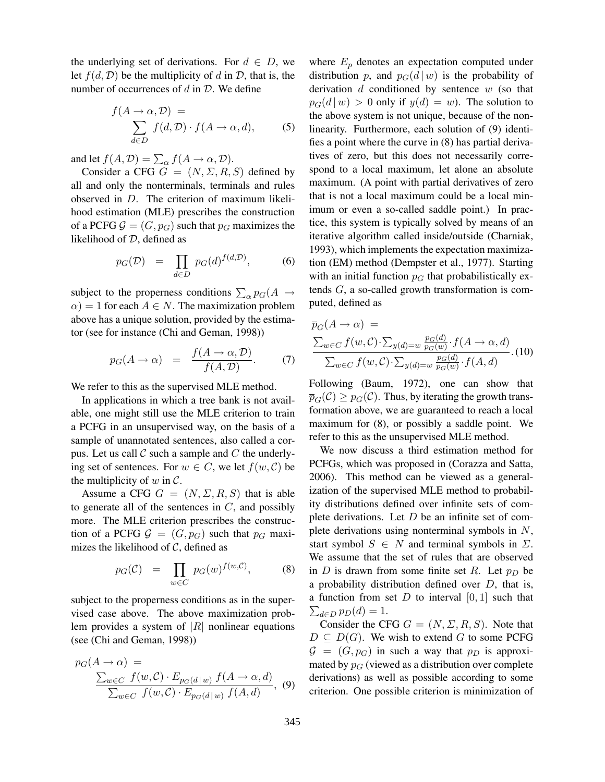the underlying set of derivations. For  $d \in D$ , we let  $f(d, D)$  be the multiplicity of d in D, that is, the number of occurrences of  $d$  in  $\mathcal{D}$ . We define

$$
f(A \to \alpha, \mathcal{D}) = \sum_{d \in D} f(d, \mathcal{D}) \cdot f(A \to \alpha, d), \tag{5}
$$

and let  $f(A, \mathcal{D}) = \sum_{\alpha} f(A \rightarrow \alpha, \mathcal{D}).$ 

Consider a CFG  $G = (N, \Sigma, R, S)$  defined by all and only the nonterminals, terminals and rules observed in D. The criterion of maximum likelihood estimation (MLE) prescribes the construction of a PCFG  $\mathcal{G} = (G, p_G)$  such that  $p_G$  maximizes the likelihood of D, defined as

$$
p_G(\mathcal{D}) = \prod_{d \in D} p_G(d)^{f(d,\mathcal{D})}, \tag{6}
$$

subject to the properness conditions  $\sum_{\alpha} p_G(A \rightarrow$  $\alpha$ ) = 1 for each  $A \in N$ . The maximization problem above has a unique solution, provided by the estimator (see for instance (Chi and Geman, 1998))

$$
p_G(A \to \alpha) = \frac{f(A \to \alpha, \mathcal{D})}{f(A, \mathcal{D})}.
$$
 (7)

We refer to this as the supervised MLE method.

In applications in which a tree bank is not available, one might still use the MLE criterion to train a PCFG in an unsupervised way, on the basis of a sample of unannotated sentences, also called a corpus. Let us call  $\mathcal C$  such a sample and  $C$  the underlying set of sentences. For  $w \in C$ , we let  $f(w, C)$  be the multiplicity of  $w$  in  $\mathcal{C}$ .

Assume a CFG  $G = (N, \Sigma, R, S)$  that is able to generate all of the sentences in  $C$ , and possibly more. The MLE criterion prescribes the construction of a PCFG  $\mathcal{G} = (G, p_G)$  such that  $p_G$  maximizes the likelihood of  $C$ , defined as

$$
p_G(\mathcal{C}) = \prod_{w \in C} p_G(w)^{f(w, \mathcal{C})}, \tag{8}
$$

subject to the properness conditions as in the supervised case above. The above maximization problem provides a system of  $|R|$  nonlinear equations (see (Chi and Geman, 1998))

$$
p_G(A \to \alpha) =
$$
  

$$
\frac{\sum_{w \in C} f(w, C) \cdot E_{p_G(d \mid w)} f(A \to \alpha, d)}{\sum_{w \in C} f(w, C) \cdot E_{p_G(d \mid w)} f(A, d)},
$$
(9)

where  $E_p$  denotes an expectation computed under distribution p, and  $p_G(d | w)$  is the probability of derivation  $d$  conditioned by sentence  $w$  (so that  $p_G(d | w) > 0$  only if  $y(d) = w$ ). The solution to the above system is not unique, because of the nonlinearity. Furthermore, each solution of (9) identifies a point where the curve in (8) has partial derivatives of zero, but this does not necessarily correspond to a local maximum, let alone an absolute maximum. (A point with partial derivatives of zero that is not a local maximum could be a local minimum or even a so-called saddle point.) In practice, this system is typically solved by means of an iterative algorithm called inside/outside (Charniak, 1993), which implements the expectation maximization (EM) method (Dempster et al., 1977). Starting with an initial function  $p_G$  that probabilistically extends G, a so-called growth transformation is computed, defined as

$$
\overline{p}_G(A \to \alpha) = \frac{\sum_{w \in C} f(w, C) \cdot \sum_{y(d) = w} \frac{p_G(d)}{p_G(w)} \cdot f(A \to \alpha, d)}{\sum_{w \in C} f(w, C) \cdot \sum_{y(d) = w} \frac{p_G(d)}{p_G(w)} \cdot f(A, d)} \cdot (10)
$$

Following (Baum, 1972), one can show that  $\overline{p}_{G}(\mathcal{C}) \ge p_{G}(\mathcal{C})$ . Thus, by iterating the growth transformation above, we are guaranteed to reach a local maximum for (8), or possibly a saddle point. We refer to this as the unsupervised MLE method.

We now discuss a third estimation method for PCFGs, which was proposed in (Corazza and Satta, 2006). This method can be viewed as a generalization of the supervised MLE method to probability distributions defined over infinite sets of complete derivations. Let  $D$  be an infinite set of complete derivations using nonterminal symbols in  $N$ , start symbol  $S \in N$  and terminal symbols in  $\Sigma$ . We assume that the set of rules that are observed in D is drawn from some finite set R. Let  $p_D$  be a probability distribution defined over  $D$ , that is, a function from set  $D$  to interval  $[0, 1]$  such that  $\sum_{d \in D} p_D(d) = 1.$ 

Consider the CFG  $G = (N, \Sigma, R, S)$ . Note that  $D \subseteq D(G)$ . We wish to extend G to some PCFG  $G = (G, p_G)$  in such a way that  $p_D$  is approximated by  $p<sub>G</sub>$  (viewed as a distribution over complete derivations) as well as possible according to some criterion. One possible criterion is minimization of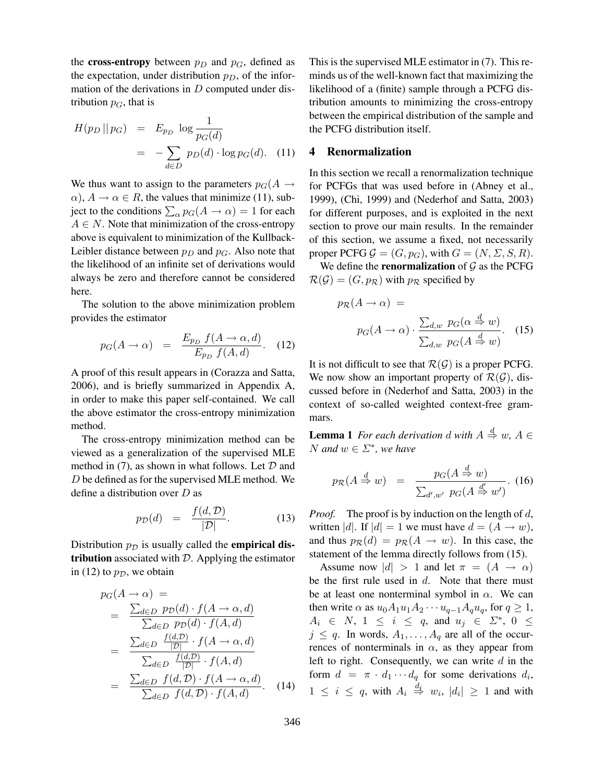the **cross-entropy** between  $p_D$  and  $p_G$ , defined as the expectation, under distribution  $p<sub>D</sub>$ , of the information of the derivations in  $D$  computed under distribution  $p_G$ , that is

$$
H(p_D || p_G) = E_{p_D} \log \frac{1}{p_G(d)}
$$
  
= 
$$
-\sum_{d \in D} p_D(d) \cdot \log p_G(d). \quad (11)
$$

We thus want to assign to the parameters  $p_G(A \rightarrow$  $\alpha$ ),  $A \rightarrow \alpha \in R$ , the values that minimize (11), subject to the conditions  $\sum_{\alpha} p_G(A \to \alpha) = 1$  for each  $A \in N$ . Note that minimization of the cross-entropy above is equivalent to minimization of the Kullback-Leibler distance between  $p_D$  and  $p_G$ . Also note that the likelihood of an infinite set of derivations would always be zero and therefore cannot be considered here.

The solution to the above minimization problem provides the estimator

$$
p_G(A \to \alpha) = \frac{E_{p_D} f(A \to \alpha, d)}{E_{p_D} f(A, d)}.
$$
 (12)

A proof of this result appears in (Corazza and Satta, 2006), and is briefly summarized in Appendix A, in order to make this paper self-contained. We call the above estimator the cross-entropy minimization method.

The cross-entropy minimization method can be viewed as a generalization of the supervised MLE method in (7), as shown in what follows. Let  $D$  and D be defined as for the supervised MLE method. We define a distribution over D as

$$
p_{\mathcal{D}}(d) = \frac{f(d, \mathcal{D})}{|\mathcal{D}|}.
$$
 (13)

Distribution  $p<sub>D</sub>$  is usually called the **empirical dis**tribution associated with  $D$ . Applying the estimator in (12) to  $p_{\mathcal{D}}$ , we obtain

$$
p_G(A \to \alpha) =
$$
  
= 
$$
\frac{\sum_{d \in D} p_D(d) \cdot f(A \to \alpha, d)}{\sum_{d \in D} p_D(d) \cdot f(A, d)}
$$
  
= 
$$
\frac{\sum_{d \in D} \frac{f(d, D)}{|D|} \cdot f(A \to \alpha, d)}{\sum_{d \in D} \frac{f(d, D)}{|D|} \cdot f(A, d)}
$$
  
= 
$$
\frac{\sum_{d \in D} f(d, D) \cdot f(A \to \alpha, d)}{\sum_{d \in D} f(d, D) \cdot f(A, d)}.
$$
 (14)

This is the supervised MLE estimator in (7). This reminds us of the well-known fact that maximizing the likelihood of a (finite) sample through a PCFG distribution amounts to minimizing the cross-entropy between the empirical distribution of the sample and the PCFG distribution itself.

# 4 Renormalization

In this section we recall a renormalization technique for PCFGs that was used before in (Abney et al., 1999), (Chi, 1999) and (Nederhof and Satta, 2003) for different purposes, and is exploited in the next section to prove our main results. In the remainder of this section, we assume a fixed, not necessarily proper PCFG  $\mathcal{G} = (G, p_G)$ , with  $G = (N, \Sigma, S, R)$ .

We define the **renormalization** of  $\mathcal G$  as the PCFG  $\mathcal{R}(\mathcal{G}) = (G, p_{\mathcal{R}})$  with  $p_{\mathcal{R}}$  specified by

$$
p_{\mathcal{R}}(A \to \alpha) =
$$
  

$$
p_G(A \to \alpha) \cdot \frac{\sum_{d,w} p_G(\alpha \stackrel{d}{\Rightarrow} w)}{\sum_{d,w} p_G(A \stackrel{d}{\Rightarrow} w)}.
$$
 (15)

It is not difficult to see that  $\mathcal{R}(\mathcal{G})$  is a proper PCFG. We now show an important property of  $\mathcal{R}(\mathcal{G})$ , discussed before in (Nederhof and Satta, 2003) in the context of so-called weighted context-free grammars.

**Lemma 1** For each derivation d with  $A \stackrel{d}{\Rightarrow} w$ ,  $A \in$ N and  $w \in \Sigma^*$ , we have

$$
p_{\mathcal{R}}(A \stackrel{d}{\Rightarrow} w) = \frac{p_G(A \stackrel{d}{\Rightarrow} w)}{\sum_{d',w'} p_G(A \stackrel{d'}{\Rightarrow} w')}.
$$
 (16)

*Proof.* The proof is by induction on the length of  $d$ , written |d|. If  $|d| = 1$  we must have  $d = (A \rightarrow w)$ , and thus  $p_{\mathcal{R}}(d) = p_{\mathcal{R}}(A \rightarrow w)$ . In this case, the statement of the lemma directly follows from (15).

Assume now  $|d| > 1$  and let  $\pi = (A \rightarrow \alpha)$ be the first rule used in  $d$ . Note that there must be at least one nonterminal symbol in  $\alpha$ . We can then write  $\alpha$  as  $u_0A_1u_1A_2\cdots u_{q-1}A_qu_q$ , for  $q\geq 1$ ,  $A_i \in N$ ,  $1 \leq i \leq q$ , and  $u_j \in \Sigma^*$ ,  $0 \leq$  $j \leq q$ . In words,  $A_1, \ldots, A_q$  are all of the occurrences of nonterminals in  $\alpha$ , as they appear from left to right. Consequently, we can write  $d$  in the form  $d = \pi \cdot d_1 \cdots d_q$  for some derivations  $d_i$ ,  $1 \leq i \leq q$ , with  $A_i \stackrel{d_i}{\Rightarrow} w_i$ ,  $|d_i| \geq 1$  and with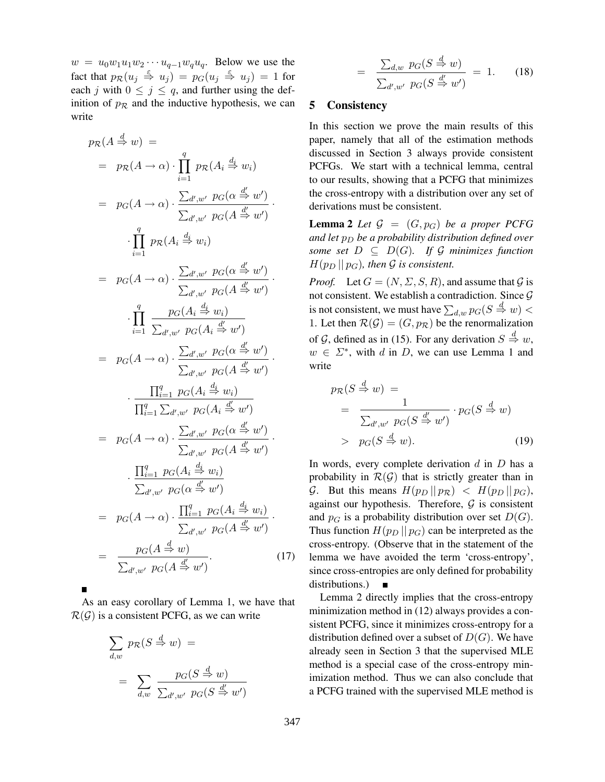$w = u_0w_1u_1w_2\cdots u_{q-1}w_qu_q$ . Below we use the fact that  $p_{\mathcal{R}}(u_j \stackrel{\varepsilon}{\Rightarrow} u_j) = p_G(u_j \stackrel{\varepsilon}{\Rightarrow} u_j) = 1$  for each j with  $0 \le j \le q$ , and further using the definition of  $p_R$  and the inductive hypothesis, we can write

$$
p_{\mathcal{R}}(A \stackrel{d}{\Rightarrow} w) =
$$
  
\n
$$
= p_{\mathcal{R}}(A \rightarrow \alpha) \cdot \prod_{i=1}^{q} p_{\mathcal{R}}(A_i \stackrel{d_i}{\Rightarrow} w_i)
$$
  
\n
$$
= p_{G}(A \rightarrow \alpha) \cdot \frac{\sum_{d',w'} p_{G}(\alpha \stackrel{d'}{\Rightarrow} w')}{\sum_{d',w'} p_{G}(A \stackrel{d'}{\Rightarrow} w')}
$$
  
\n
$$
\cdot \prod_{i=1}^{q} p_{\mathcal{R}}(A_i \stackrel{d_i}{\Rightarrow} w_i)
$$
  
\n
$$
= p_{G}(A \rightarrow \alpha) \cdot \frac{\sum_{d',w'} p_{G}(\alpha \stackrel{d'}{\Rightarrow} w')}{\sum_{d',w'} p_{G}(A \stackrel{d'}{\Rightarrow} w')}
$$
  
\n
$$
\cdot \prod_{i=1}^{q} \frac{p_{G}(A_i \stackrel{d_i}{\Rightarrow} w_i)}{\sum_{d',w'} p_{G}(A_i \stackrel{d'}{\Rightarrow} w')}
$$
  
\n
$$
= p_{G}(A \rightarrow \alpha) \cdot \frac{\sum_{d',w'} p_{G}(\alpha \stackrel{d'}{\Rightarrow} w')}{\sum_{d',w'} p_{G}(A \stackrel{d'}{\Rightarrow} w')}
$$
  
\n
$$
\cdot \prod_{i=1}^{q} \frac{p_{G}(A_i \stackrel{d_i}{\Rightarrow} w_i)}{\sum_{d',w'} p_{G}(A_i \stackrel{d'}{\Rightarrow} w')}
$$
  
\n
$$
= p_{G}(A \rightarrow \alpha) \cdot \frac{\sum_{d',w'} p_{G}(\alpha \stackrel{d'}{\Rightarrow} w')}{\sum_{d',w'} p_{G}(A \stackrel{d'}{\Rightarrow} w')}
$$
  
\n
$$
\cdot \prod_{i=1}^{q} p_{G}(A_i \stackrel{d_i}{\Rightarrow} w_i)
$$
  
\n
$$
\cdot \prod_{i=1}^{q} p_{G}(A_i \stackrel{d'}{\Rightarrow} w')
$$
  
\n
$$
= p_{G}(A \rightarrow \alpha) \cdot \frac{\prod_{i=1}^{q} p_{G}(A_i \stackrel{d'}{\Rightarrow} w')}{\sum_{d',w'} p_{G}(A \stackrel{d'}{\Rightarrow} w')}
$$
  
\n
$$
= \frac{p_{G}(A \stackrel{d}{\Rightarrow} w)}{\sum_{d',w'}
$$

As an easy corollary of Lemma 1, we have that  $\mathcal{R}(\mathcal{G})$  is a consistent PCFG, as we can write

$$
\sum_{d,w} p_{\mathcal{R}}(S \stackrel{d}{\Rightarrow} w) =
$$

$$
= \sum_{d,w} \frac{p_G(S \stackrel{d}{\Rightarrow} w)}{\sum_{d',w'} p_G(S \stackrel{d'}{\Rightarrow} w')}
$$

$$
= \frac{\sum_{d,w} p_G(S \stackrel{d}{\Rightarrow} w)}{\sum_{d',w'} p_G(S \stackrel{d'}{\Rightarrow} w')} = 1. \qquad (18)
$$

# 5 Consistency

In this section we prove the main results of this paper, namely that all of the estimation methods discussed in Section 3 always provide consistent PCFGs. We start with a technical lemma, central to our results, showing that a PCFG that minimizes the cross-entropy with a distribution over any set of derivations must be consistent.

**Lemma 2** Let  $\mathcal{G} = (G, p_G)$  be a proper PCFG and let  $p_D$  be a probability distribution defined over some set  $D \subseteq D(G)$ . If G minimizes function  $H(p_D || p_G)$ , then G is consistent.

*Proof.* Let  $G = (N, \Sigma, S, R)$ , and assume that G is not consistent. We establish a contradiction. Since  $G$ is not consistent, we must have  $\sum_{d,w} p_G(S \stackrel{d}{\Rightarrow} w) <$ 1. Let then  $\mathcal{R}(\mathcal{G}) = (G, p_{\mathcal{R}})$  be the renormalization of G, defined as in (15). For any derivation  $S \stackrel{d}{\Rightarrow} w$ ,  $w \in \Sigma^*$ , with d in D, we can use Lemma 1 and write

$$
p_{\mathcal{R}}(S \stackrel{d}{\Rightarrow} w) =
$$
  
= 
$$
\frac{1}{\sum_{d',w'} p_G(S \stackrel{d'}{\Rightarrow} w')} \cdot p_G(S \stackrel{d}{\Rightarrow} w)
$$
  
> 
$$
p_G(S \stackrel{d}{\Rightarrow} w).
$$
 (19)

In words, every complete derivation  $d$  in  $D$  has a probability in  $\mathcal{R}(\mathcal{G})$  that is strictly greater than in G. But this means  $H(p_D || p_R) < H(p_D || p_G)$ , against our hypothesis. Therefore,  $G$  is consistent and  $p<sub>G</sub>$  is a probability distribution over set  $D(G)$ . Thus function  $H(p_D || p_G)$  can be interpreted as the cross-entropy. (Observe that in the statement of the lemma we have avoided the term 'cross-entropy', since cross-entropies are only defined for probability distributions.)

Lemma 2 directly implies that the cross-entropy minimization method in (12) always provides a consistent PCFG, since it minimizes cross-entropy for a distribution defined over a subset of  $D(G)$ . We have already seen in Section 3 that the supervised MLE method is a special case of the cross-entropy minimization method. Thus we can also conclude that a PCFG trained with the supervised MLE method is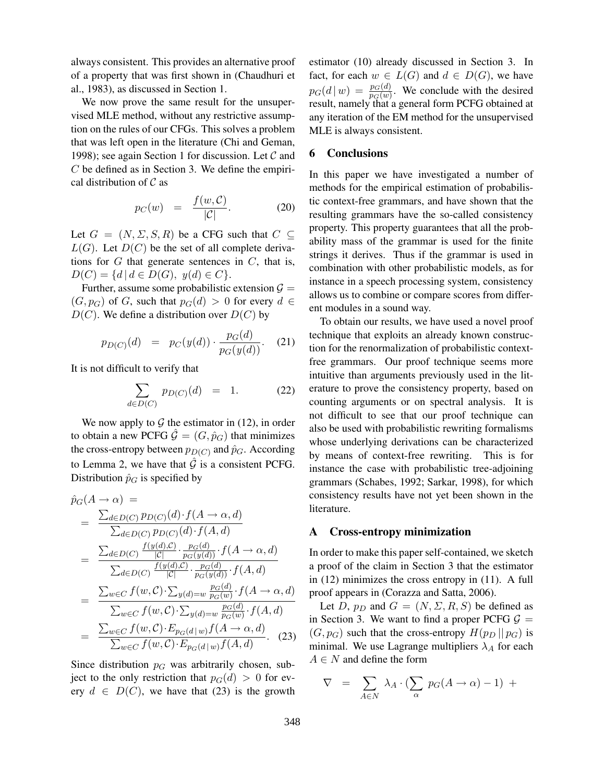always consistent. This provides an alternative proof of a property that was first shown in (Chaudhuri et al., 1983), as discussed in Section 1.

We now prove the same result for the unsupervised MLE method, without any restrictive assumption on the rules of our CFGs. This solves a problem that was left open in the literature (Chi and Geman, 1998); see again Section 1 for discussion. Let  $\mathcal C$  and  $C$  be defined as in Section 3. We define the empirical distribution of  $\mathcal C$  as

$$
p_C(w) = \frac{f(w, C)}{|C|}.
$$
 (20)

Let  $G = (N, \Sigma, S, R)$  be a CFG such that  $C \subseteq$  $L(G)$ . Let  $D(C)$  be the set of all complete derivations for  $G$  that generate sentences in  $C$ , that is,  $D(C) = \{d \mid d \in D(G), y(d) \in C\}.$ 

Further, assume some probabilistic extension  $\mathcal{G} =$  $(G, p_G)$  of G, such that  $p_G(d) > 0$  for every  $d \in$  $D(C)$ . We define a distribution over  $D(C)$  by

$$
p_{D(C)}(d) = p_C(y(d)) \cdot \frac{p_G(d)}{p_G(y(d))}. \quad (21)
$$

It is not difficult to verify that

$$
\sum_{d \in D(C)} p_{D(C)}(d) = 1. \tag{22}
$$

We now apply to  $G$  the estimator in (12), in order to obtain a new PCFG  $\hat{G} = (G, \hat{p}_{G})$  that minimizes the cross-entropy between  $p_{D(C)}$  and  $\hat{p}_G$ . According to Lemma 2, we have that  $\hat{G}$  is a consistent PCFG. Distribution  $\hat{p}_G$  is specified by

$$
\hat{p}_{G}(A \rightarrow \alpha) =
$$
\n
$$
= \frac{\sum_{d \in D(C)} p_{D(C)}(d) \cdot f(A \rightarrow \alpha, d)}{\sum_{d \in D(C)} p_{D(C)}(d) \cdot f(A, d)}
$$
\n
$$
= \frac{\sum_{d \in D(C)} \frac{f(y(d), C)}{|C|} \cdot \frac{p_{G}(d)}{p_{G}(y(d))} \cdot f(A \rightarrow \alpha, d)}{\sum_{d \in D(C)} \frac{f(y(d), C)}{|C|} \cdot \frac{p_{G}(d)}{p_{G}(y(d))} \cdot f(A, d)}
$$
\n
$$
= \frac{\sum_{w \in C} f(w, C) \cdot \sum_{y(d) = w} \frac{p_{G}(d)}{p_{G}(w)} \cdot f(A \rightarrow \alpha, d)}{\sum_{w \in C} f(w, C) \cdot \sum_{y(d) = w} \frac{p_{G}(d)}{p_{G}(w)} \cdot f(A, d)}
$$
\n
$$
= \frac{\sum_{w \in C} f(w, C) \cdot E_{p_{G}(d|w)} f(A \rightarrow \alpha, d)}{\sum_{w \in C} f(w, C) \cdot E_{p_{G}(d|w)} f(A, d)}.
$$
\n(23)

Since distribution  $p<sub>G</sub>$  was arbitrarily chosen, subject to the only restriction that  $p_G(d) > 0$  for every  $d \in D(C)$ , we have that (23) is the growth estimator (10) already discussed in Section 3. In fact, for each  $w \in L(G)$  and  $d \in D(G)$ , we have  $p_G(d | w) = \frac{p_G(d)}{p_G(w)}$ . We conclude with the desired result, namely that a general form PCFG obtained at any iteration of the EM method for the unsupervised MLE is always consistent.

#### 6 Conclusions

In this paper we have investigated a number of methods for the empirical estimation of probabilistic context-free grammars, and have shown that the resulting grammars have the so-called consistency property. This property guarantees that all the probability mass of the grammar is used for the finite strings it derives. Thus if the grammar is used in combination with other probabilistic models, as for instance in a speech processing system, consistency allows us to combine or compare scores from different modules in a sound way.

To obtain our results, we have used a novel proof technique that exploits an already known construction for the renormalization of probabilistic contextfree grammars. Our proof technique seems more intuitive than arguments previously used in the literature to prove the consistency property, based on counting arguments or on spectral analysis. It is not difficult to see that our proof technique can also be used with probabilistic rewriting formalisms whose underlying derivations can be characterized by means of context-free rewriting. This is for instance the case with probabilistic tree-adjoining grammars (Schabes, 1992; Sarkar, 1998), for which consistency results have not yet been shown in the literature.

#### A Cross-entropy minimization

In order to make this paper self-contained, we sketch a proof of the claim in Section 3 that the estimator in (12) minimizes the cross entropy in (11). A full proof appears in (Corazza and Satta, 2006).

Let D,  $p_D$  and  $G = (N, \Sigma, R, S)$  be defined as in Section 3. We want to find a proper PCFG  $\mathcal{G}$  =  $(G, p_G)$  such that the cross-entropy  $H(p_D || p_G)$  is minimal. We use Lagrange multipliers  $\lambda_A$  for each  $A \in N$  and define the form

$$
\nabla = \sum_{A \in N} \lambda_A \cdot (\sum_{\alpha} p_G(A \to \alpha) - 1) +
$$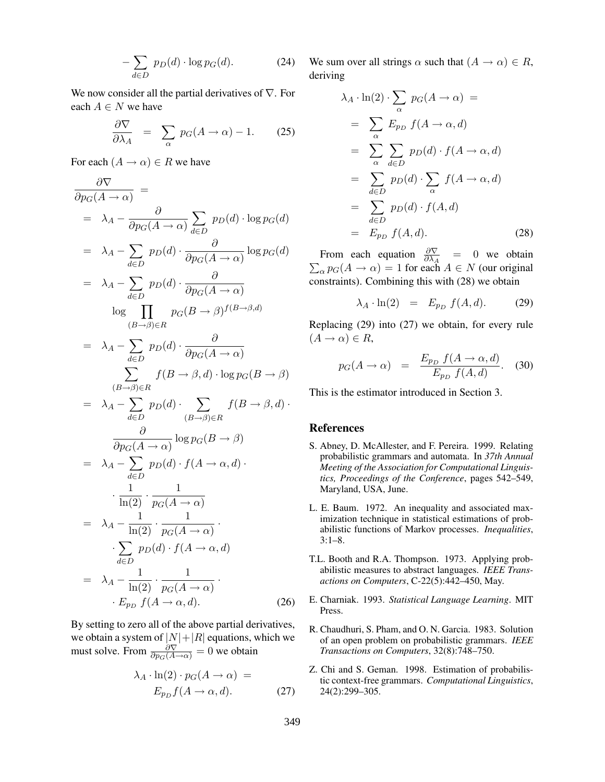$$
-\sum_{d\in D} p_D(d) \cdot \log p_G(d). \tag{24}
$$

We now consider all the partial derivatives of  $\nabla$ . For each  $A \in N$  we have

$$
\frac{\partial \nabla}{\partial \lambda_A} = \sum_{\alpha} p_G(A \to \alpha) - 1. \tag{25}
$$

For each  $(A \rightarrow \alpha) \in R$  we have

$$
\frac{\partial \nabla}{\partial p_G(A \to \alpha)} =
$$
\n
$$
= \lambda_A - \frac{\partial}{\partial p_G(A \to \alpha)} \sum_{d \in D} p_D(d) \cdot \log p_G(d)
$$
\n
$$
= \lambda_A - \sum_{d \in D} p_D(d) \cdot \frac{\partial}{\partial p_G(A \to \alpha)} \log p_G(d)
$$
\n
$$
= \lambda_A - \sum_{d \in D} p_D(d) \cdot \frac{\partial}{\partial p_G(A \to \alpha)}
$$
\n
$$
\log \prod_{(B \to \beta) \in R} p_G(B \to \beta)^{f(B \to \beta,d)}
$$
\n
$$
= \lambda_A - \sum_{d \in D} p_D(d) \cdot \frac{\partial}{\partial p_G(A \to \alpha)}
$$
\n
$$
\sum_{(B \to \beta) \in R} f(B \to \beta, d) \cdot \log p_G(B \to \beta)
$$
\n
$$
= \lambda_A - \sum_{d \in D} p_D(d) \cdot \sum_{(B \to \beta) \in R} f(B \to \beta, d)
$$
\n
$$
= \lambda_A - \sum_{d \in D} p_D(d) \cdot f(A \to \alpha, d)
$$
\n
$$
\cdot \frac{1}{\ln(2)} \cdot \frac{1}{p_G(A \to \alpha)}
$$
\n
$$
= \lambda_A - \frac{1}{\ln(2)} \cdot \frac{1}{p_G(A \to \alpha)}
$$
\n
$$
\cdot \sum_{d \in D} p_D(d) \cdot f(A \to \alpha, d)
$$
\n
$$
= \lambda_A - \frac{1}{\ln(2)} \cdot \frac{1}{p_G(A \to \alpha)}.
$$
\n(26)

By setting to zero all of the above partial derivatives, we obtain a system of  $|N|+|R|$  equations, which we must solve. From  $\frac{\partial \nabla}{\partial p_G(A \rightarrow \alpha)} = 0$  we obtain

$$
\lambda_A \cdot \ln(2) \cdot p_G(A \to \alpha) =
$$
  
\n
$$
E_{p_D} f(A \to \alpha, d).
$$
 (27)

We sum over all strings  $\alpha$  such that  $(A \to \alpha) \in R$ , deriving

$$
\lambda_A \cdot \ln(2) \cdot \sum_{\alpha} p_G(A \to \alpha) =
$$
\n
$$
= \sum_{\alpha} E_{p_D} f(A \to \alpha, d)
$$
\n
$$
= \sum_{\alpha} \sum_{d \in D} p_D(d) \cdot f(A \to \alpha, d)
$$
\n
$$
= \sum_{d \in D} p_D(d) \cdot \sum_{\alpha} f(A \to \alpha, d)
$$
\n
$$
= \sum_{d \in D} p_D(d) \cdot f(A, d)
$$
\n
$$
= E_{p_D} f(A, d). \qquad (28)
$$

From each equation  $\frac{\partial \nabla}{\partial \lambda_A}$  = 0 we obtain  $\sum_{\alpha} p_G(A \to \alpha) = 1$  for each  $A \in N$  (our original constraints). Combining this with (28) we obtain

$$
\lambda_A \cdot \ln(2) = E_{p_D} f(A, d). \tag{29}
$$

Replacing (29) into (27) we obtain, for every rule  $(A \rightarrow \alpha) \in R$ ,

$$
p_G(A \to \alpha) = \frac{E_{p_D} f(A \to \alpha, d)}{E_{p_D} f(A, d)}.
$$
 (30)

This is the estimator introduced in Section 3.

#### References

- S. Abney, D. McAllester, and F. Pereira. 1999. Relating probabilistic grammars and automata. In 37th Annual Meeting of the Association for Computational Linguistics, Proceedings of the Conference, pages 542–549, Maryland, USA, June.
- L. E. Baum. 1972. An inequality and associated maximization technique in statistical estimations of probabilistic functions of Markov processes. Inequalities, 3:1–8.
- T.L. Booth and R.A. Thompson. 1973. Applying probabilistic measures to abstract languages. IEEE Transactions on Computers, C-22(5):442–450, May.
- E. Charniak. 1993. Statistical Language Learning. MIT Press.
- R. Chaudhuri, S. Pham, and O. N. Garcia. 1983. Solution of an open problem on probabilistic grammars. IEEE Transactions on Computers, 32(8):748–750.
- Z. Chi and S. Geman. 1998. Estimation of probabilistic context-free grammars. Computational Linguistics, 24(2):299–305.